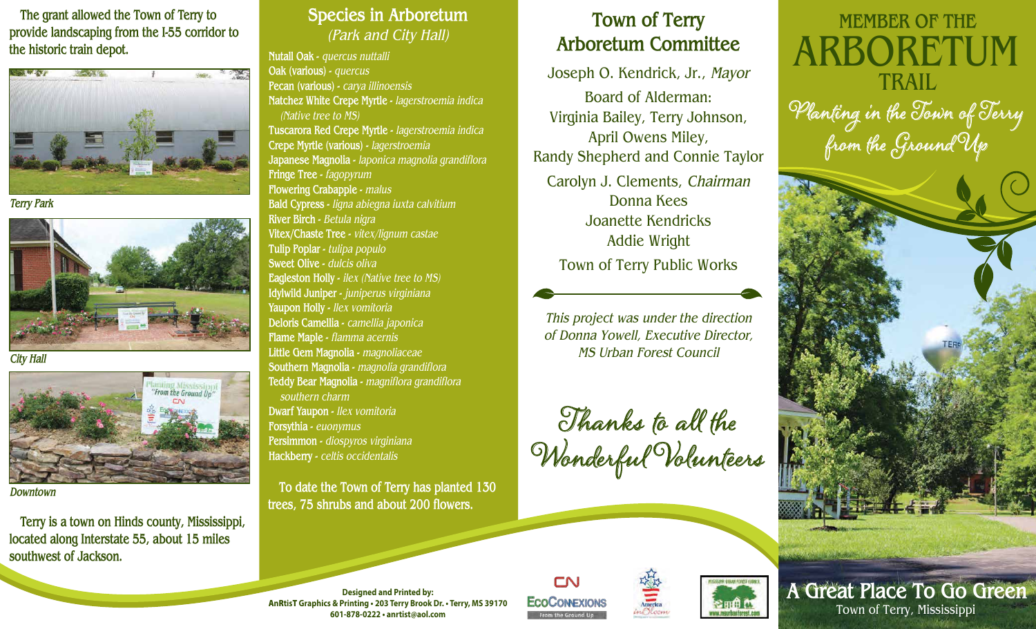**The grant allowed the Town of Terry to provide landscaping from the I-55 corridor to the historic train depot.**



*Terry Park*



*City Hall*



*Downtown*

 **Terry is a town on Hinds county, Mississippi, located along Interstate 55, about 15 miles southwest of Jackson.**

## **Species in Arboretum** *(Park and City Hall)*

**Nutall Oak -** *quercus nuttalli* **Oak (various) -** *quercus* **Pecan (various) -** *carya illinoensis* **Natchez White Crepe Myrtle -** *lagerstroemia indica (Native tree to MS)* **Tuscarora Red Crepe Myrtle -** *lagerstroemia indica* **Crepe Myrtle (various) -** *lagerstroemia* **Japanese Magnolia -** *laponica magnolia grandiflora* **Fringe Tree -** *fagopyrum* **Flowering Crabapple -** *malus* **Bald Cypress -** *ligna abiegna iuxta calvitium* **River Birch -** *Betula nigra* **Vitex/Chaste Tree -** *vitex/lignum castae* **Tulip Poplar -** *tulipa populo* **Sweet Olive -** *dulcis oliva* **Eagleston Holly -** *ilex (Native tree to MS)* **Idylwild Juniper -** *juniperus virginiana* **Yaupon Holly -** *llex vomitoria* **Deloris Camellia -** *camellia japonica* **Flame Maple -** *flamma acernis* **Little Gem Magnolia -** *magnoliaceae* **Southern Magnolia -** *magnolia grandiflora* **Teddy Bear Magnolia -** *magniflora grandiflora southern charm* **Dwarf Yaupon -** *llex vomitoria* **Forsythia -** *euonymus* **Persimmon -** *diospyros virginiana* **Hackberry -** *celtis occidentalis*

 **To date the Town of Terry has planted 130 trees, 75 shrubs and about 200 flowers.**

## **Town of Terry Arboretum Committee**

Joseph O. Kendrick, Jr., *Mayor* Board of Alderman: Virginia Bailey, Terry Johnson, April Owens Miley, Randy Shepherd and Connie Taylor Carolyn J. Clements, *Chairman* Donna Kees Joanette Kendricks Addie Wright Town of Terry Public Works

*This project was under the direction of Donna Yowell, Executive Director, MS Urban Forest Council*







**Designed and Printed by:** A**n**R**tis**T **Graphics & Printing • 203 Terry Brook Dr. • Terry, MS 39170 601-878-0222 • anrtist@aol.com**